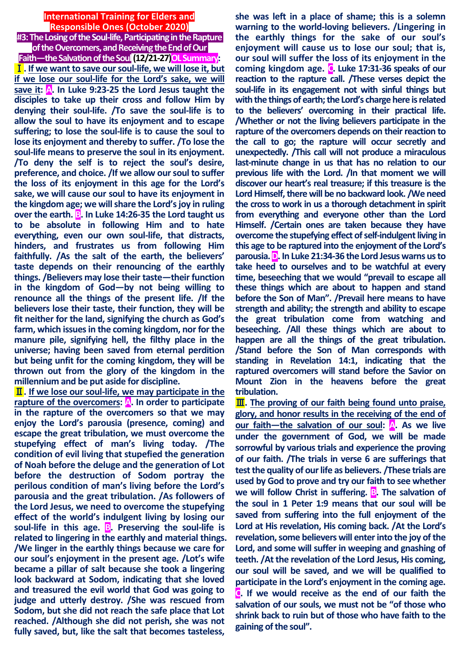# **International Training for Elders and Responsible Ones (October 2020) #3: The Losing of the Soul-life, Participating in theRapture**

**of the Overcomers, and Receiving the End of Our Faith—the Salvation of the Soul(12/21-27)OLSummary:** Ⅰ**. If we want to save our soul-life, we will lose it, but if we lose our soul-life for the Lord's sake, we will save it: A. In Luke 9:23-25 the Lord Jesus taught the disciples to take up their cross and follow Him by denying their soul-life. /To save the soul-life is to allow the soul to have its enjoyment and to escape suffering; to lose the soul-life is to cause the soul to lose its enjoyment and thereby to suffer. /To lose the soul-life means to preserve the soul in its enjoyment. /To deny the self is to reject the soul's desire, preference, and choice. /If we allow our soul to suffer the loss of its enjoyment in this age for the Lord's sake, we will cause our soul to have its enjoyment in the kingdom age; we will share the Lord's joy in ruling over the earth. B. In Luke 14:26-35 the Lord taught us to be absolute in following Him and to hate everything, even our own soul-life, that distracts, hinders, and frustrates us from following Him faithfully. /As the salt of the earth, the believers' taste depends on their renouncing of the earthly things. /Believers may lose their taste—their function in the kingdom of God—by not being willing to renounce all the things of the present life. /If the believers lose their taste, their function, they will be fit neither for the land, signifying the church as God's farm, which issues in the coming kingdom, nor for the manure pile, signifying hell, the filthy place in the universe; having been saved from eternal perdition but being unfit for the coming kingdom, they will be thrown out from the glory of the kingdom in the millennium and be put aside for discipline.**

Ⅱ**. If we lose our soul-life, we may participate in the rapture of the overcomers: A. In order to participate in the rapture of the overcomers so that we may enjoy the Lord's parousia (presence, coming) and escape the great tribulation, we must overcome the stupefying effect of man's living today. /The condition of evil living that stupefied the generation of Noah before the deluge and the generation of Lot before the destruction of Sodom portray the perilous condition of man's living before the Lord's parousia and the great tribulation. /As followers of the Lord Jesus, we need to overcome the stupefying effect of the world's indulgent living by losing our soul-life in this age. B. Preserving the soul-life is related to lingering in the earthly and material things. /We linger in the earthly things because we care for our soul's enjoyment in the present age. /Lot's wife became a pillar of salt because she took a lingering look backward at Sodom, indicating that she loved and treasured the evil world that God was going to judge and utterly destroy. /She was rescued from Sodom, but she did not reach the safe place that Lot reached. /Although she did not perish, she was not fully saved, but, like the salt that becomes tasteless,** 

**she was left in a place of shame; this is a solemn warning to the world-loving believers. /Lingering in the earthly things for the sake of our soul's enjoyment will cause us to lose our soul; that is, our soul will suffer the loss of its enjoyment in the coming kingdom age. C. Luke 17:31-36 speaks of our reaction to the rapture call. /These verses depict the soul-life in its engagement not with sinful things but with the things of earth; the Lord's charge here is related to the believers' overcoming in their practical life. /Whether or not the living believers participate in the rapture of the overcomers depends on their reaction to the call to go; the rapture will occur secretly and unexpectedly. /This call will not produce a miraculous last-minute change in us that has no relation to our previous life with the Lord. /In that moment we will discover our heart's real treasure; if this treasure is the Lord Himself, there will be no backward look. /We need the cross to work in us a thorough detachment in spirit from everything and everyone other than the Lord Himself. /Certain ones are taken because they have overcome the stupefying effect of self-indulgent living in this age to be raptured into the enjoyment of the Lord's parousia.D. In Luke 21:34-36 the Lord Jesus warns us to take heed to ourselves and to be watchful at every time, beseeching that we would "prevail to escape all these things which are about to happen and stand before the Son of Man". /Prevail here means to have strength and ability; the strength and ability to escape the great tribulation come from watching and beseeching. /All these things which are about to happen are all the things of the great tribulation. /Stand before the Son of Man corresponds with standing in Revelation 14:1, indicating that the raptured overcomers will stand before the Savior on Mount Zion in the heavens before the great tribulation.**

Ⅲ**. The proving of our faith being found unto praise, glory, and honor results in the receiving of the end of our faith—the salvation of our soul: A. As we live under the government of God, we will be made sorrowful by various trials and experience the proving of our faith. /The trials in verse 6 are sufferings that test the quality of our life as believers. /These trials are used by God to prove and try our faith to see whether we will follow Christ in suffering. <b>B**. The salvation of **the soul in 1 Peter 1:9 means that our soul will be saved from suffering into the full enjoyment of the Lord at His revelation, His coming back. /At the Lord's revelation, some believers will enter into the joy of the Lord, and some will suffer in weeping and gnashing of teeth. /At the revelation of the Lord Jesus, His coming, our soul will be saved, and we will be qualified to participate in the Lord's enjoyment in the coming age. C. If we would receive as the end of our faith the salvation of our souls, we must not be "of those who shrink back to ruin but of those who have faith to the gaining of the soul".**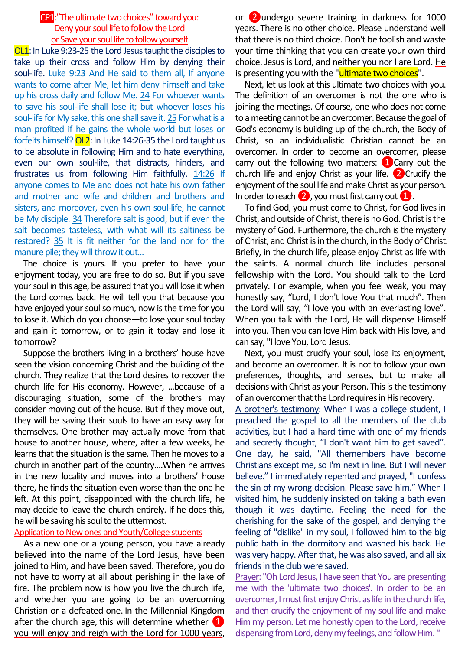# CP1:"The ultimate two choices" toward you: Deny your soul life to follow the Lord or Save your soul life to follow yourself

OL1: In Luke 9:23-25 the Lord Jesus taught the disciples to take up their cross and follow Him by denying their soul-life. Luke 9:23 And He said to them all, If anyone wants to come after Me, let him deny himself and take up his cross daily and follow Me. 24 For whoever wants to save his soul-life shall lose it; but whoever loses his soul-life for My sake, this one shall save it. 25 For what is a man profited if he gains the whole world but loses or forfeits himself? OL2: In Luke 14:26-35 the Lord taught us to be absolute in following Him and to hate everything, even our own soul-life, that distracts, hinders, and frustrates us from following Him faithfully. 14:26 If anyone comes to Me and does not hate his own father and mother and wife and children and brothers and sisters, and moreover, even his own soul-life, he cannot be My disciple. 34 Therefore salt is good; but if even the salt becomes tasteless, with what will its saltiness be restored? 35 It is fit neither for the land nor for the manure pile; they will throw it out...

The choice is yours. If you prefer to have your enjoyment today, you are free to do so. But if you save your soul in this age, be assured that you will lose it when the Lord comes back. He will tell you that because you have enjoyed your soul so much, now is the time for you to lose it. Which do you choose—to lose your soul today and gain it tomorrow, or to gain it today and lose it tomorrow?

Suppose the brothers living in a brothers' house have seen the vision concerning Christ and the building of the church. They realize that the Lord desires to recover the church life for His economy. However, ...because of a discouraging situation, some of the brothers may consider moving out of the house. But if they move out, they will be saving their souls to have an easy way for themselves. One brother may actually move from that house to another house, where, after a few weeks, he learns that the situation is the same. Then he moves to a church in another part of the country….When he arrives in the new locality and moves into a brothers' house there, he finds the situation even worse than the one he left. At this point, disappointed with the church life, he may decide to leave the church entirely. If he does this, he will be saving his soul to the uttermost.

### Application to New ones and Youth/College students

As a new one or a young person, you have already believed into the name of the Lord Jesus, have been joined to Him, and have been saved. Therefore, you do not have to worry at all about perishing in the lake of fire. The problem now is how you live the church life, and whether you are going to be an overcoming Christian or a defeated one. In the Millennial Kingdom after the church age, this will determine whether  $\Box$ you will enjoy and reigh with the Lord for 1000 years,

or ❷undergo severe training in darkness for 1000 years. There is no other choice. Please understand well that there is no third choice. Don't be foolish and waste your time thinking that you can create your own third choice. Jesus is Lord, and neither you nor I are Lord. He is presenting you with the "ultimate two choices".

Next, let us look at this ultimate two choices with you. The definition of an overcomer is not the one who is joining the meetings. Of course, one who does not come to a meeting cannot be an overcomer. Because the goal of God's economy is building up of the church, the Body of Christ, so an individualistic Christian cannot be an overcomer. In order to become an overcomer, please carry out the following two matters:  $\Box$  Carry out the church life and enjoy Christ as your life.  $\sqrt{2}$  Crucify the enjoyment of the soul life and make Christ as your person. In order to reach  $\bullet$ , you must first carry out  $\bullet$ .

To find God, you must come to Christ, for God lives in Christ, and outside of Christ, there is no God. Christ is the mystery of God. Furthermore, the church is the mystery of Christ, and Christ is in the church, in the Body of Christ. Briefly, in the church life, please enjoy Christ as life with the saints. A normal church life includes personal fellowship with the Lord. You should talk to the Lord privately. For example, when you feel weak, you may honestly say, "Lord, I don't love You that much". Then the Lord will say, "I love you with an everlasting love". When you talk with the Lord, He will dispense Himself into you. Then you can love Him back with His love, and can say, "I love You, Lord Jesus.

Next, you must crucify your soul, lose its enjoyment, and become an overcomer. It is not to follow your own preferences, thoughts, and senses, but to make all decisions with Christ as your Person. This is the testimony of an overcomer that the Lord requires in His recovery.

A brother's testimony: When I was a college student, I preached the gospel to all the members of the club activities, but I had a hard time with one of my friends and secretly thought, "I don't want him to get saved". One day, he said, "All themembers have become Christians except me, so I'm next in line. But I will never believe." I immediately repented and prayed, "I confess the sin of my wrong decision. Please save him." When I visited him, he suddenly insisted on taking a bath even though it was daytime. Feeling the need for the cherishing for the sake of the gospel, and denying the feeling of "dislike" in my soul, I followed him to the big public bath in the dormitory and washed his back. He was very happy. After that, he was also saved, and all six friends in the club were saved.

Prayer: "Oh Lord Jesus, I have seen that You are presenting me with the 'ultimate two choices'. In order to be an overcomer, I must first enjoy Christ as life in the church life, and then crucify the enjoyment of my soul life and make Him my person. Let me honestly open to the Lord, receive dispensing from Lord, deny my feelings, and follow Him. "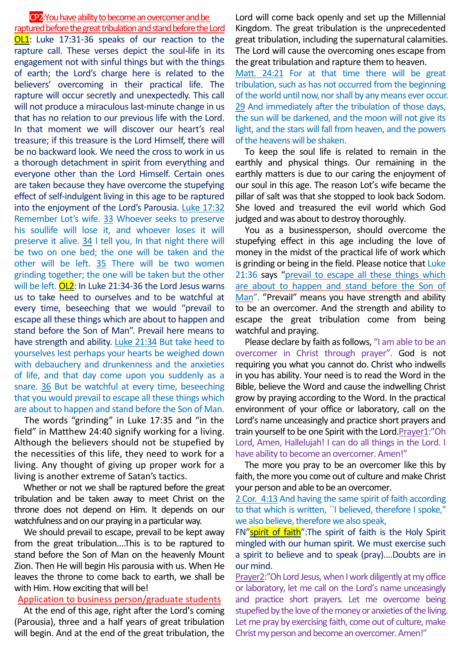#### CP2: You have ability to become an overcomer and be

raptured before the great tribulation and stand before the Lord **OL1**: Luke 17:31-36 speaks of our reaction to the rapture call. These verses depict the soul-life in its engagement not with sinful things but with the things of earth; the Lord's charge here is related to the believers' overcoming in their practical life. The rapture will occur secretly and unexpectedly. This call will not produce a miraculous last-minute change in us that has no relation to our previous life with the Lord. In that moment we will discover our heart's real treasure; if this treasure is the Lord Himself, there will be no backward look. We need the cross to work in us a thorough detachment in spirit from everything and everyone other than the Lord Himself. Certain ones are taken because they have overcome the stupefying effect of self-indulgent living in this age to be raptured into the enjoyment of the Lord's Parousia. Luke 17:32 Remember Lot's wife. 33 Whoever seeks to preserve his soullife will lose it, and whoever loses it will preserve it alive. 34 I tell you, In that night there will be two on one bed; the one will be taken and the other will be left. 35 There will be two women grinding together; the one will be taken but the other will be left. OL2: In Luke 21:34-36 the Lord Jesus warns us to take heed to ourselves and to be watchful at every time, beseeching that we would "prevail to escape all these things which are about to happen and stand before the Son of Man". Prevail here means to have strength and ability. Luke 21:34 But take heed to yourselves lest perhaps your hearts be weighed down with debauchery and drunkenness and the anxieties of life, and that day come upon you suddenly as a snare. 36 But be watchful at every time, beseeching that you would prevail to escape all these things which are about to happen and stand before the Son of Man.

The words "grinding" in Luke 17:35 and "in the field" in Matthew 24:40 signify working for a living. Although the believers should not be stupefied by the necessities of this life, they need to work for a living. Any thought of giving up proper work for a living is another extreme of Satan's tactics.

Whether or not we shall be raptured before the great tribulation and be taken away to meet Christ on the throne does not depend on Him. It depends on our watchfulness and on our praying in a particular way.

We should prevail to escape, prevail to be kept away from the great tribulation….This is to be raptured to stand before the Son of Man on the heavenly Mount Zion. Then He will begin His parousia with us. When He leaves the throne to come back to earth, we shall be with Him. How exciting that will be!

### Application to business person/graduate students

At the end of this age, right after the Lord's coming (Parousia), three and a half years of great tribulation will begin. And at the end of the great tribulation, the Lord will come back openly and set up the Millennial Kingdom. The great tribulation is the unprecedented great tribulation, including the supernatural calamities. The Lord will cause the overcoming ones escape from the great tribulation and rapture them to heaven.

Matt. 24:21 For at that time there will be great tribulation, such as has not occurred from the beginning of the world until now, nor shall by any means ever occur. 29 And immediately after the tribulation of those days, the sun will be darkened, and the moon will not give its light, and the stars will fall from heaven, and the powers of the heavens will be shaken.

To keep the soul life is related to remain in the earthly and physical things. Our remaining in the earthly matters is due to our caring the enjoyment of our soul in this age. The reason Lot's wife became the pillar of salt was that she stopped to look back Sodom. She loved and treasured the evil world which God judged and was about to destroy thoroughly.

You as a businessperson, should overcome the stupefying effect in this age including the love of money in the midst of the practical life of work which is grinding or being in the field. Please notice that Luke 21:36 says "prevail to escape all these things which are about to happen and stand before the Son of Man". "Prevail" means you have strength and ability to be an overcomer. And the strength and ability to escape the great tribulation come from being watchful and praying.

Please declare by faith as follows, "I am able to be an overcomer in Christ through prayer". God is not requiring you what you cannot do. Christ who indwells in you has ability. Your need is to read the Word in the Bible, believe the Word and cause the indwelling Christ grow by praying according to the Word. In the practical environment of your office or laboratory, call on the Lord's name unceasingly and practice short prayers and train yourself to be one Spirit with the Lord.Prayer1:"Oh Lord, Amen, Hallelujah! I can do all things in the Lord. I have ability to become an overcomer. Amen!"

The more you pray to be an overcomer like this by faith, the more you come out of culture and make Christ your person and able to be an overcomer.

2 Cor. 4:13 And having the same spirit of faith according to that which is written, ``I believed, therefore I spoke,'' we also believe, therefore we also speak,

FN"spirit of faith": The spirit of faith is the Holy Spirit mingled with our human spirit. We must exercise such a spirit to believe and to speak (pray).…Doubts are in our mind.

Prayer2:"Oh Lord Jesus, when I work diligently at my office or laboratory, let me call on the Lord's name unceasingly and practice short prayers. Let me overcome being stupefied by the love of the money or anxieties of the living. Let me pray by exercising faith, come out of culture, make Christ my person and become an overcomer. Amen!"